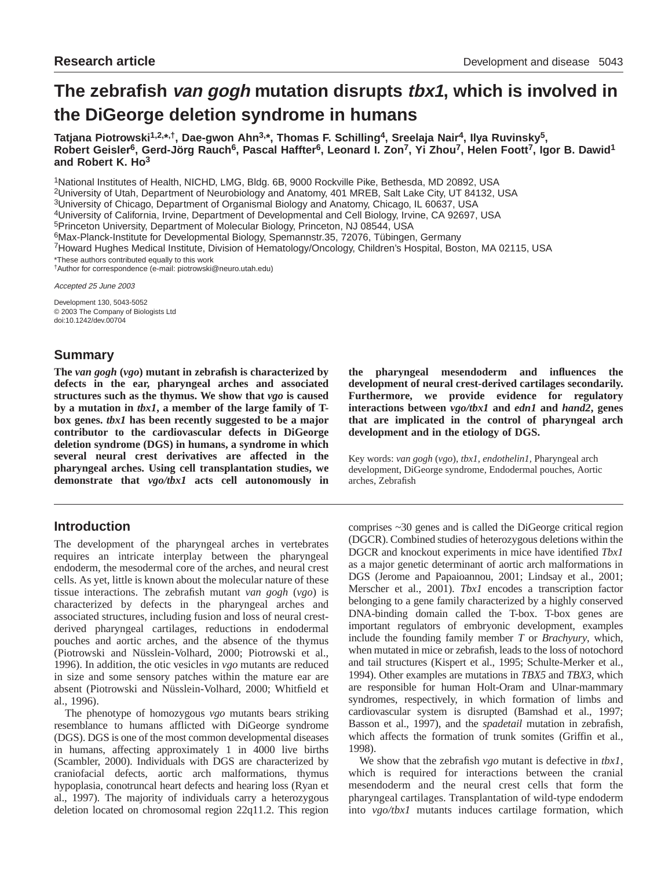# **The zebrafish van gogh mutation disrupts tbx1, which is involved in the DiGeorge deletion syndrome in humans**

**Tatjana Piotrowski1,2,\*,†, Dae-gwon Ahn3,\*, Thomas F. Schilling4, Sreelaja Nair4, Ilya Ruvinsky5, Robert Geisler6, Gerd-Jörg Rauch6, Pascal Haffter6, Leonard I. Zon7, Yi Zhou7, Helen Foott7, Igor B. Dawid1 and Robert K. Ho3**

1National Institutes of Health, NICHD, LMG, Bldg. 6B, 9000 Rockville Pike, Bethesda, MD 20892, USA

2University of Utah, Department of Neurobiology and Anatomy, 401 MREB, Salt Lake City, UT 84132, USA

3University of Chicago, Department of Organismal Biology and Anatomy, Chicago, IL 60637, USA

4University of California, Irvine, Department of Developmental and Cell Biology, Irvine, CA 92697, USA

5Princeton University, Department of Molecular Biology, Princeton, NJ 08544, USA

6Max-Planck-Institute for Developmental Biology, Spemannstr.35, 72076, Tübingen, Germany

7Howard Hughes Medical Institute, Division of Hematology/Oncology, Children's Hospital, Boston, MA 02115, USA

\*These authors contributed equally to this work †Author for correspondence (e-mail: piotrowski@neuro.utah.edu)

Accepted 25 June 2003

Development 130, 5043-5052 © 2003 The Company of Biologists Ltd doi:10.1242/dev.00704

# **Summary**

**The** *van gogh* **(***vgo***) mutant in zebrafish is characterized by defects in the ear, pharyngeal arches and associated structures such as the thymus. We show that** *vgo* **is caused by a mutation in** *tbx1***, a member of the large family of Tbox genes.** *tbx1* **has been recently suggested to be a major contributor to the cardiovascular defects in DiGeorge deletion syndrome (DGS) in humans, a syndrome in which several neural crest derivatives are affected in the pharyngeal arches. Using cell transplantation studies, we demonstrate that** *vgo/tbx1* **acts cell autonomously in**

# **Introduction**

The development of the pharyngeal arches in vertebrates requires an intricate interplay between the pharyngeal endoderm, the mesodermal core of the arches, and neural crest cells. As yet, little is known about the molecular nature of these tissue interactions. The zebrafish mutant *van gogh* (*vgo*) is characterized by defects in the pharyngeal arches and associated structures, including fusion and loss of neural crestderived pharyngeal cartilages, reductions in endodermal pouches and aortic arches, and the absence of the thymus (Piotrowski and Nüsslein-Volhard, 2000; Piotrowski et al., 1996). In addition, the otic vesicles in *vgo* mutants are reduced in size and some sensory patches within the mature ear are absent (Piotrowski and Nüsslein-Volhard, 2000; Whitfield et al., 1996).

The phenotype of homozygous *vgo* mutants bears striking resemblance to humans afflicted with DiGeorge syndrome (DGS). DGS is one of the most common developmental diseases in humans, affecting approximately 1 in 4000 live births (Scambler, 2000). Individuals with DGS are characterized by craniofacial defects, aortic arch malformations, thymus hypoplasia, conotruncal heart defects and hearing loss (Ryan et al., 1997). The majority of individuals carry a heterozygous deletion located on chromosomal region 22q11.2. This region **the pharyngeal mesendoderm and influences the development of neural crest-derived cartilages secondarily. Furthermore, we provide evidence for regulatory interactions between** *vgo/tbx1* **and** *edn1* **and** *hand2***, genes that are implicated in the control of pharyngeal arch development and in the etiology of DGS.**

Key words: *van gogh* (*vgo*), *tbx1*, *endothelin1,* Pharyngeal arch development, DiGeorge syndrome, Endodermal pouches, Aortic arches, Zebrafish

comprises ~30 genes and is called the DiGeorge critical region (DGCR). Combined studies of heterozygous deletions within the DGCR and knockout experiments in mice have identified *Tbx1* as a major genetic determinant of aortic arch malformations in DGS (Jerome and Papaioannou, 2001; Lindsay et al., 2001; Merscher et al., 2001). *Tbx1* encodes a transcription factor belonging to a gene family characterized by a highly conserved DNA-binding domain called the T-box. T-box genes are important regulators of embryonic development, examples include the founding family member *T* or *Brachyury*, which, when mutated in mice or zebrafish, leads to the loss of notochord and tail structures (Kispert et al., 1995; Schulte-Merker et al., 1994). Other examples are mutations in *TBX5* and *TBX3*, which are responsible for human Holt-Oram and Ulnar-mammary syndromes, respectively, in which formation of limbs and cardiovascular system is disrupted (Bamshad et al., 1997; Basson et al., 1997), and the *spadetail* mutation in zebrafish, which affects the formation of trunk somites (Griffin et al., 1998).

We show that the zebrafish *vgo* mutant is defective in *tbx1*, which is required for interactions between the cranial mesendoderm and the neural crest cells that form the pharyngeal cartilages. Transplantation of wild-type endoderm into *vgo/tbx1* mutants induces cartilage formation, which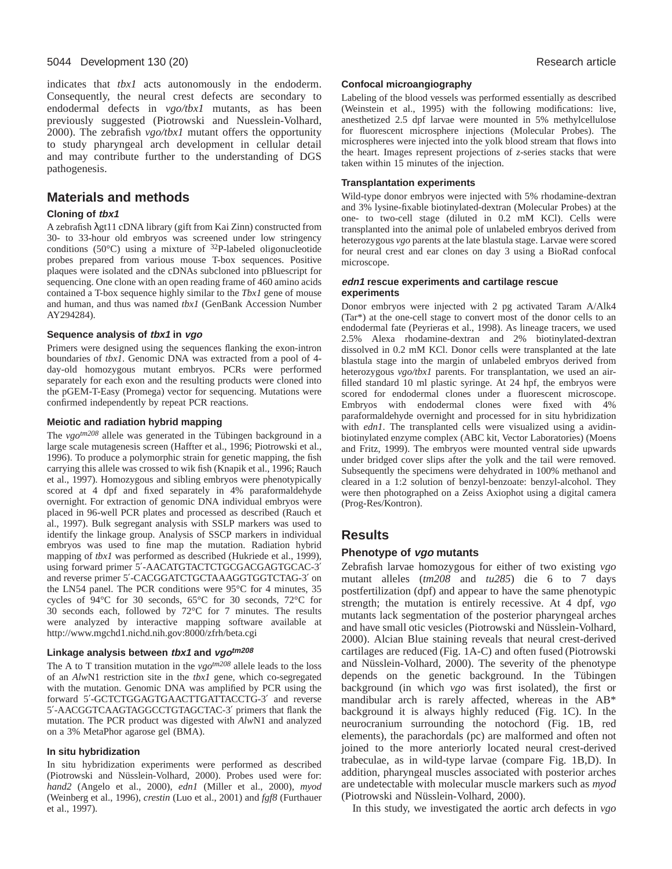#### 5044 Development 130 (20) Research article

indicates that *tbx1* acts autonomously in the endoderm. Consequently, the neural crest defects are secondary to endodermal defects in *vgo/tbx1* mutants, as has been previously suggested (Piotrowski and Nuesslein-Volhard, 2000). The zebrafish *vgo/tbx1* mutant offers the opportunity to study pharyngeal arch development in cellular detail and may contribute further to the understanding of DGS pathogenesis.

# **Materials and methods**

### **Cloning of tbx1**

A zebrafish λgt11 cDNA library (gift from Kai Zinn) constructed from 30- to 33-hour old embryos was screened under low stringency conditions (50 $^{\circ}$ C) using a mixture of  $^{32}P$ -labeled oligonucleotide probes prepared from various mouse T-box sequences. Positive plaques were isolated and the cDNAs subcloned into pBluescript for sequencing. One clone with an open reading frame of 460 amino acids contained a T-box sequence highly similar to the *Tbx1* gene of mouse and human, and thus was named *tbx1* (GenBank Accession Number AY294284).

### **Sequence analysis of tbx1 in vgo**

Primers were designed using the sequences flanking the exon-intron boundaries of *tbx1*. Genomic DNA was extracted from a pool of 4 day-old homozygous mutant embryos. PCRs were performed separately for each exon and the resulting products were cloned into the pGEM-T-Easy (Promega) vector for sequencing. Mutations were confirmed independently by repeat PCR reactions.

### **Meiotic and radiation hybrid mapping**

The *vgotm208* allele was generated in the Tübingen background in a large scale mutagenesis screen (Haffter et al., 1996; Piotrowski et al., 1996). To produce a polymorphic strain for genetic mapping, the fish carrying this allele was crossed to wik fish (Knapik et al., 1996; Rauch et al., 1997). Homozygous and sibling embryos were phenotypically scored at 4 dpf and fixed separately in 4% paraformaldehyde overnight. For extraction of genomic DNA individual embryos were placed in 96-well PCR plates and processed as described (Rauch et al., 1997). Bulk segregant analysis with SSLP markers was used to identify the linkage group. Analysis of SSCP markers in individual embryos was used to fine map the mutation. Radiation hybrid mapping of *tbx1* was performed as described (Hukriede et al., 1999), using forward primer 5′-AACATGTACTCTGCGACGAGTGCAC-3′ and reverse primer 5′-CACGGATCTGCTAAAGGTGGTCTAG-3′ on the LN54 panel. The PCR conditions were 95°C for 4 minutes, 35 cycles of 94°C for 30 seconds, 65°C for 30 seconds, 72°C for 30 seconds each, followed by 72°C for 7 minutes. The results were analyzed by interactive mapping software available at http://www.mgchd1.nichd.nih.gov:8000/zfrh/beta.cgi

### **Linkage analysis between tbx1 and vgotm208**

The A to T transition mutation in the  $v\alpha^{tm208}$  allele leads to the loss of an *Alw*N1 restriction site in the *tbx1* gene, which co-segregated with the mutation. Genomic DNA was amplified by PCR using the forward 5′-GCTCTGGAGTGAACTTGATTACCTG-3′ and reverse 5′-AACGGTCAAGTAGGCCTGTAGCTAC-3′ primers that flank the mutation. The PCR product was digested with *Alw*N1 and analyzed on a 3% MetaPhor agarose gel (BMA).

### **In situ hybridization**

In situ hybridization experiments were performed as described (Piotrowski and Nüsslein-Volhard, 2000). Probes used were for: *hand2* (Angelo et al., 2000), *edn1* (Miller et al., 2000), *myod* (Weinberg et al., 1996), *crestin* (Luo et al., 2001) and *fgf8* (Furthauer et al., 1997).

#### **Confocal microangiography**

Labeling of the blood vessels was performed essentially as described (Weinstein et al., 1995) with the following modifications: live, anesthetized 2.5 dpf larvae were mounted in 5% methylcellulose for fluorescent microsphere injections (Molecular Probes). The microspheres were injected into the yolk blood stream that flows into the heart. Images represent projections of *z*-series stacks that were taken within 15 minutes of the injection.

### **Transplantation experiments**

Wild-type donor embryos were injected with 5% rhodamine-dextran and 3% lysine-fixable biotinylated-dextran (Molecular Probes) at the one- to two-cell stage (diluted in 0.2 mM KCl). Cells were transplanted into the animal pole of unlabeled embryos derived from heterozygous *vgo* parents at the late blastula stage. Larvae were scored for neural crest and ear clones on day 3 using a BioRad confocal microscope.

### **edn1 rescue experiments and cartilage rescue experiments**

Donor embryos were injected with 2 pg activated Taram A/Alk4 (Tar\*) at the one-cell stage to convert most of the donor cells to an endodermal fate (Peyrieras et al., 1998). As lineage tracers, we used 2.5% Alexa rhodamine-dextran and 2% biotinylated-dextran dissolved in 0.2 mM KCl. Donor cells were transplanted at the late blastula stage into the margin of unlabeled embryos derived from heterozygous *vgo/tbx1* parents. For transplantation, we used an airfilled standard 10 ml plastic syringe. At 24 hpf, the embryos were scored for endodermal clones under a fluorescent microscope. Embryos with endodermal clones were fixed with 4% paraformaldehyde overnight and processed for in situ hybridization with *edn1*. The transplanted cells were visualized using a avidinbiotinylated enzyme complex (ABC kit, Vector Laboratories) (Moens and Fritz, 1999). The embryos were mounted ventral side upwards under bridged cover slips after the yolk and the tail were removed. Subsequently the specimens were dehydrated in 100% methanol and cleared in a 1:2 solution of benzyl-benzoate: benzyl-alcohol. They were then photographed on a Zeiss Axiophot using a digital camera (Prog-Res/Kontron).

# **Results**

## **Phenotype of vgo mutants**

Zebrafish larvae homozygous for either of two existing *vgo* mutant alleles (*tm208* and *tu285*) die 6 to 7 days postfertilization (dpf) and appear to have the same phenotypic strength; the mutation is entirely recessive. At 4 dpf, *vgo* mutants lack segmentation of the posterior pharyngeal arches and have small otic vesicles (Piotrowski and Nüsslein-Volhard, 2000). Alcian Blue staining reveals that neural crest-derived cartilages are reduced (Fig. 1A-C) and often fused (Piotrowski and Nüsslein-Volhard, 2000). The severity of the phenotype depends on the genetic background. In the Tübingen background (in which *vgo* was first isolated), the first or mandibular arch is rarely affected, whereas in the AB\* background it is always highly reduced (Fig. 1C). In the neurocranium surrounding the notochord (Fig. 1B, red elements), the parachordals (pc) are malformed and often not joined to the more anteriorly located neural crest-derived trabeculae, as in wild-type larvae (compare Fig. 1B,D). In addition, pharyngeal muscles associated with posterior arches are undetectable with molecular muscle markers such as *myod* (Piotrowski and Nüsslein-Volhard, 2000).

In this study, we investigated the aortic arch defects in *vgo*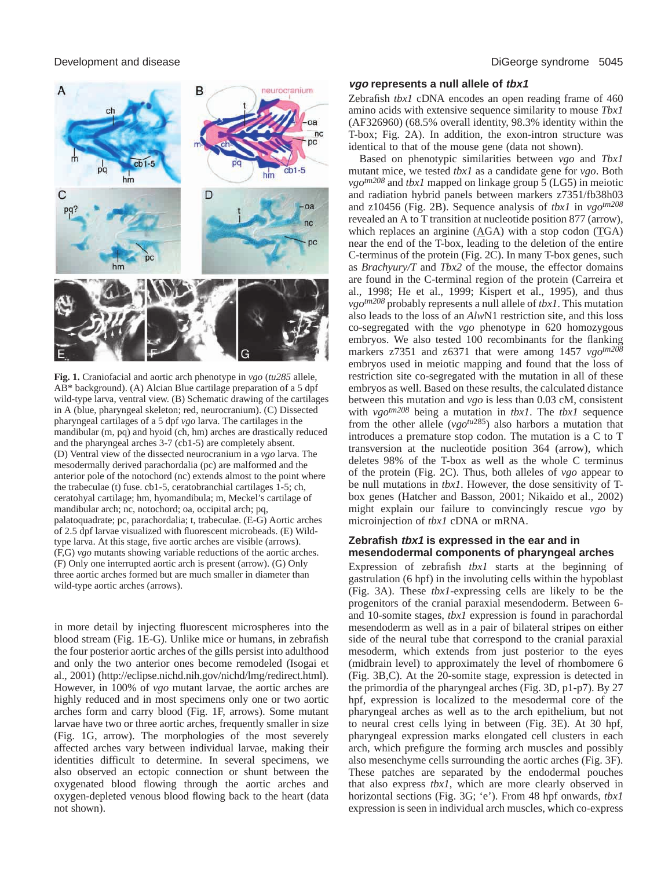

**Fig. 1.** Craniofacial and aortic arch phenotype in *vgo* (*tu285* allele, AB\* background). (A) Alcian Blue cartilage preparation of a 5 dpf wild-type larva, ventral view. (B) Schematic drawing of the cartilages in A (blue, pharyngeal skeleton; red, neurocranium). (C) Dissected pharyngeal cartilages of a 5 dpf *vgo* larva. The cartilages in the mandibular (m, pq) and hyoid (ch, hm) arches are drastically reduced and the pharyngeal arches 3-7 (cb1-5) are completely absent. (D) Ventral view of the dissected neurocranium in a *vgo* larva. The mesodermally derived parachordalia (pc) are malformed and the anterior pole of the notochord (nc) extends almost to the point where the trabeculae (t) fuse. cb1-5, ceratobranchial cartilages 1-5; ch, ceratohyal cartilage; hm, hyomandibula; m, Meckel's cartilage of mandibular arch; nc, notochord; oa, occipital arch; pq, palatoquadrate; pc, parachordalia; t, trabeculae. (E-G) Aortic arches of 2.5 dpf larvae visualized with fluorescent microbeads. (E) Wildtype larva. At this stage, five aortic arches are visible (arrows). (F,G) *vgo* mutants showing variable reductions of the aortic arches. (F) Only one interrupted aortic arch is present (arrow). (G) Only three aortic arches formed but are much smaller in diameter than wild-type aortic arches (arrows).

in more detail by injecting fluorescent microspheres into the blood stream (Fig. 1E-G). Unlike mice or humans, in zebrafish the four posterior aortic arches of the gills persist into adulthood and only the two anterior ones become remodeled (Isogai et al., 2001) (http://eclipse.nichd.nih.gov/nichd/lmg/redirect.html). However, in 100% of *vgo* mutant larvae, the aortic arches are highly reduced and in most specimens only one or two aortic arches form and carry blood (Fig. 1F, arrows). Some mutant larvae have two or three aortic arches, frequently smaller in size (Fig. 1G, arrow). The morphologies of the most severely affected arches vary between individual larvae, making their identities difficult to determine. In several specimens, we also observed an ectopic connection or shunt between the oxygenated blood flowing through the aortic arches and oxygen-depleted venous blood flowing back to the heart (data not shown).

#### Development and disease DiGeorge syndrome 5045

### **vgo represents a null allele of tbx1**

Zebrafish *tbx1* cDNA encodes an open reading frame of 460 amino acids with extensive sequence similarity to mouse *Tbx1* (AF326960) (68.5% overall identity, 98.3% identity within the T-box; Fig. 2A). In addition, the exon-intron structure was identical to that of the mouse gene (data not shown).

Based on phenotypic similarities between *vgo* and *Tbx1* mutant mice, we tested *tbx1* as a candidate gene for *vgo*. Both *vgotm208* and *tbx1* mapped on linkage group 5 (LG5) in meiotic and radiation hybrid panels between markers z7351/fb38h03 and z10456 (Fig. 2B). Sequence analysis of *tbx1* in *vgotm208* revealed an A to T transition at nucleotide position 877 (arrow), which replaces an arginine (AGA) with a stop codon (TGA) near the end of the T-box, leading to the deletion of the entire C-terminus of the protein (Fig. 2C). In many T-box genes, such as *Brachyury/T* and *Tbx2* of the mouse, the effector domains are found in the C-terminal region of the protein (Carreira et al., 1998; He et al., 1999; Kispert et al., 1995), and thus *vgotm208* probably represents a null allele of *tbx1*. This mutation also leads to the loss of an *Alw*N1 restriction site, and this loss co-segregated with the *vgo* phenotype in 620 homozygous embryos. We also tested 100 recombinants for the flanking markers z7351 and z6371 that were among 1457 *vgo<sup>tm208</sup>* embryos used in meiotic mapping and found that the loss of restriction site co-segregated with the mutation in all of these embryos as well. Based on these results, the calculated distance between this mutation and *vgo* is less than 0.03 cM, consistent with *vgotm208* being a mutation in *tbx1*. The *tbx1* sequence from the other allele (*vgotu*285) also harbors a mutation that introduces a premature stop codon. The mutation is a C to T transversion at the nucleotide position 364 (arrow), which deletes 98% of the T-box as well as the whole C terminus of the protein (Fig. 2C). Thus, both alleles of *vgo* appear to be null mutations in *tbx1*. However, the dose sensitivity of Tbox genes (Hatcher and Basson, 2001; Nikaido et al., 2002) might explain our failure to convincingly rescue *vgo* by microinjection of *tbx1* cDNA or mRNA.

#### **Zebrafish tbx1 is expressed in the ear and in mesendodermal components of pharyngeal arches**

Expression of zebrafish *tbx1* starts at the beginning of gastrulation (6 hpf) in the involuting cells within the hypoblast (Fig. 3A). These *tbx1*-expressing cells are likely to be the progenitors of the cranial paraxial mesendoderm. Between 6 and 10-somite stages, *tbx1* expression is found in parachordal mesendoderm as well as in a pair of bilateral stripes on either side of the neural tube that correspond to the cranial paraxial mesoderm, which extends from just posterior to the eyes (midbrain level) to approximately the level of rhombomere 6 (Fig. 3B,C). At the 20-somite stage, expression is detected in the primordia of the pharyngeal arches (Fig. 3D, p1-p7). By 27 hpf, expression is localized to the mesodermal core of the pharyngeal arches as well as to the arch epithelium, but not to neural crest cells lying in between (Fig. 3E). At 30 hpf, pharyngeal expression marks elongated cell clusters in each arch, which prefigure the forming arch muscles and possibly also mesenchyme cells surrounding the aortic arches (Fig. 3F). These patches are separated by the endodermal pouches that also express *tbx1*, which are more clearly observed in horizontal sections (Fig. 3G; 'e'). From 48 hpf onwards, *tbx1* expression is seen in individual arch muscles, which co-express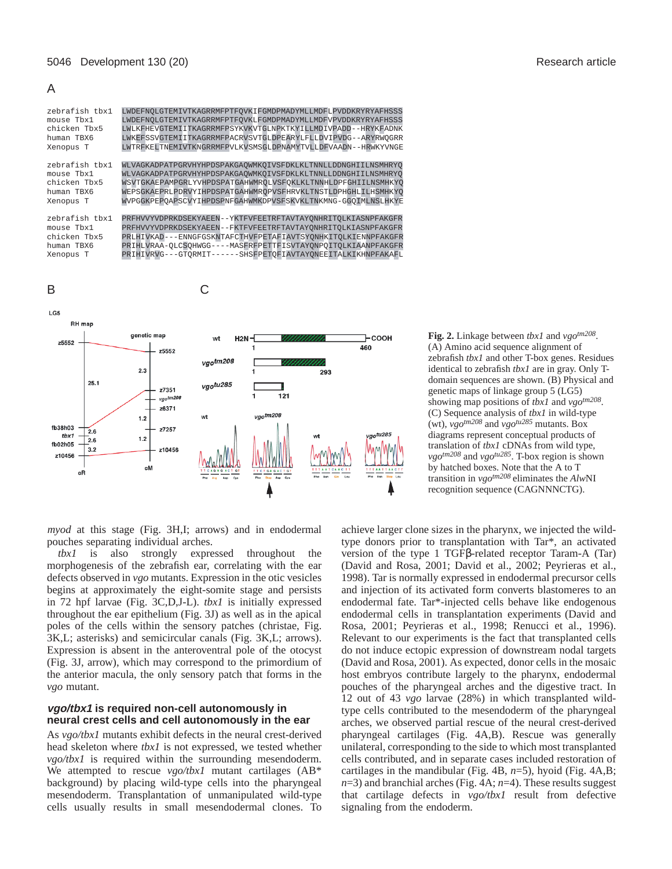A





**Fig. 2.** Linkage between *tbx1* and *vgotm208*. (A) Amino acid sequence alignment of zebrafish *tbx1* and other T-box genes. Residues identical to zebrafish *tbx1* are in gray. Only Tdomain sequences are shown. (B) Physical and genetic maps of linkage group 5 (LG5) showing map positions of *tbx1* and *vgotm208*. (C) Sequence analysis of *tbx1* in wild-type (wt),  $v g \circ t^{m208}$  and  $v g \circ t^{m285}$  mutants. Box diagrams represent conceptual products of translation of *tbx1* cDNAs from wild type, *vgotm208* and *vgotu285*. T-box region is shown by hatched boxes. Note that the A to T transition in *vgotm208* eliminates the *Alw*NI recognition sequence (CAGNNNCTG).

*myod* at this stage (Fig. 3H,I; arrows) and in endodermal pouches separating individual arches.

*tbx1* is also strongly expressed throughout the morphogenesis of the zebrafish ear, correlating with the ear defects observed in *vgo* mutants. Expression in the otic vesicles begins at approximately the eight-somite stage and persists in 72 hpf larvae (Fig. 3C,D,J-L). *tbx1* is initially expressed throughout the ear epithelium (Fig. 3J) as well as in the apical poles of the cells within the sensory patches (christae, Fig. 3K,L; asterisks) and semicircular canals (Fig. 3K,L; arrows). Expression is absent in the anteroventral pole of the otocyst (Fig. 3J, arrow), which may correspond to the primordium of the anterior macula, the only sensory patch that forms in the *vgo* mutant.

### **vgo/tbx1 is required non-cell autonomously in neural crest cells and cell autonomously in the ear**

As *vgo/tbx1* mutants exhibit defects in the neural crest-derived head skeleton where *tbx1* is not expressed, we tested whether *vgo/tbx1* is required within the surrounding mesendoderm. We attempted to rescue *vgo/tbx1* mutant cartilages (AB\* background) by placing wild-type cells into the pharyngeal mesendoderm. Transplantation of unmanipulated wild-type cells usually results in small mesendodermal clones. To

achieve larger clone sizes in the pharynx, we injected the wildtype donors prior to transplantation with Tar\*, an activated version of the type 1 TGFβ-related receptor Taram-A (Tar) (David and Rosa, 2001; David et al., 2002; Peyrieras et al., 1998). Tar is normally expressed in endodermal precursor cells and injection of its activated form converts blastomeres to an endodermal fate. Tar\*-injected cells behave like endogenous endodermal cells in transplantation experiments (David and Rosa, 2001; Peyrieras et al., 1998; Renucci et al., 1996). Relevant to our experiments is the fact that transplanted cells do not induce ectopic expression of downstream nodal targets (David and Rosa, 2001). As expected, donor cells in the mosaic host embryos contribute largely to the pharynx, endodermal pouches of the pharyngeal arches and the digestive tract. In 12 out of 43 *vgo* larvae (28%) in which transplanted wildtype cells contributed to the mesendoderm of the pharyngeal arches, we observed partial rescue of the neural crest-derived pharyngeal cartilages (Fig. 4A,B). Rescue was generally unilateral, corresponding to the side to which most transplanted cells contributed, and in separate cases included restoration of cartilages in the mandibular (Fig. 4B, *n*=5), hyoid (Fig. 4A,B; *n*=3) and branchial arches (Fig. 4A; *n*=4). These results suggest that cartilage defects in *vgo/tbx1* result from defective signaling from the endoderm.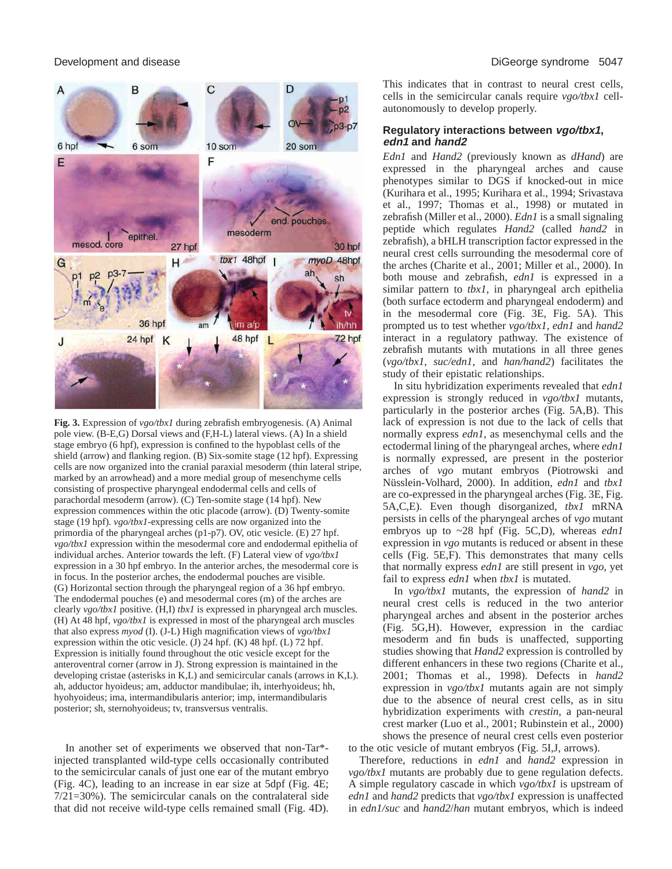

**Fig. 3.** Expression of *vgo/tbx1* during zebrafish embryogenesis. (A) Animal pole view. (B-E,G) Dorsal views and (F,H-L) lateral views. (A) In a shield stage embryo (6 hpf), expression is confined to the hypoblast cells of the shield (arrow) and flanking region. (B) Six-somite stage (12 hpf). Expressing cells are now organized into the cranial paraxial mesoderm (thin lateral stripe, marked by an arrowhead) and a more medial group of mesenchyme cells consisting of prospective pharyngeal endodermal cells and cells of parachordal mesoderm (arrow). (C) Ten-somite stage (14 hpf). New expression commences within the otic placode (arrow). (D) Twenty-somite stage (19 hpf). *vgo/tbx1*-expressing cells are now organized into the primordia of the pharyngeal arches (p1-p7). OV, otic vesicle. (E) 27 hpf. *vgo/tbx1* expression within the mesodermal core and endodermal epithelia of individual arches. Anterior towards the left. (F) Lateral view of *vgo/tbx1* expression in a 30 hpf embryo. In the anterior arches, the mesodermal core is in focus. In the posterior arches, the endodermal pouches are visible. (G) Horizontal section through the pharyngeal region of a 36 hpf embryo. The endodermal pouches (e) and mesodermal cores (m) of the arches are clearly *vgo/tbx1* positive*.* (H,I) *tbx1* is expressed in pharyngeal arch muscles. (H) At 48 hpf, *vgo/tbx1* is expressed in most of the pharyngeal arch muscles that also express *myod* (I). (J-L) High magnification views of *vgo/tbx1* expression within the otic vesicle. (J) 24 hpf. (K) 48 hpf. (L) 72 hpf. Expression is initially found throughout the otic vesicle except for the anteroventral corner (arrow in J). Strong expression is maintained in the developing cristae (asterisks in K,L) and semicircular canals (arrows in K,L). ah, adductor hyoideus; am, adductor mandibulae; ih, interhyoideus; hh, hyohyoideus; ima, intermandibularis anterior; imp, intermandibularis posterior; sh, sternohyoideus; tv, transversus ventralis.

In another set of experiments we observed that non-Tar\* injected transplanted wild-type cells occasionally contributed to the semicircular canals of just one ear of the mutant embryo (Fig. 4C), leading to an increase in ear size at 5dpf (Fig. 4E; 7/21=30%). The semicircular canals on the contralateral side that did not receive wild-type cells remained small (Fig. 4D). This indicates that in contrast to neural crest cells, cells in the semicircular canals require *vgo/tbx1* cellautonomously to develop properly.

#### **Regulatory interactions between vgo/tbx1, edn1 and hand2**

*Edn1* and *Hand2* (previously known as *dHand*) are expressed in the pharyngeal arches and cause phenotypes similar to DGS if knocked-out in mice (Kurihara et al., 1995; Kurihara et al., 1994; Srivastava et al., 1997; Thomas et al., 1998) or mutated in zebrafish (Miller et al., 2000). *Edn1* is a small signaling peptide which regulates *Hand2* (called *hand2* in zebrafish), a bHLH transcription factor expressed in the neural crest cells surrounding the mesodermal core of the arches (Charite et al., 2001; Miller et al., 2000). In both mouse and zebrafish, *edn1* is expressed in a similar pattern to *tbx1*, in pharyngeal arch epithelia (both surface ectoderm and pharyngeal endoderm) and in the mesodermal core (Fig. 3E, Fig. 5A). This prompted us to test whether *vgo/tbx1*, *edn1* and *hand2* interact in a regulatory pathway. The existence of zebrafish mutants with mutations in all three genes (*vgo/tbx1*, *suc/edn1*, and *han/hand2*) facilitates the study of their epistatic relationships.

In situ hybridization experiments revealed that *edn1* expression is strongly reduced in *vgo/tbx1* mutants, particularly in the posterior arches (Fig. 5A,B). This lack of expression is not due to the lack of cells that normally express *edn1*, as mesenchymal cells and the ectodermal lining of the pharyngeal arches, where *edn1* is normally expressed, are present in the posterior arches of *vgo* mutant embryos (Piotrowski and Nüsslein-Volhard, 2000). In addition, *edn1* and *tbx1* are co-expressed in the pharyngeal arches (Fig. 3E, Fig. 5A,C,E). Even though disorganized, *tbx1* mRNA persists in cells of the pharyngeal arches of *vgo* mutant embryos up to ~28 hpf (Fig. 5C,D), whereas *edn1* expression in *vgo* mutants is reduced or absent in these cells (Fig. 5E,F). This demonstrates that many cells that normally express *edn1* are still present in *vgo*, yet fail to express *edn1* when *tbx1* is mutated.

In *vgo/tbx1* mutants, the expression of *hand2* in neural crest cells is reduced in the two anterior pharyngeal arches and absent in the posterior arches (Fig. 5G,H). However, expression in the cardiac mesoderm and fin buds is unaffected, supporting studies showing that *Hand2* expression is controlled by different enhancers in these two regions (Charite et al., 2001; Thomas et al., 1998). Defects in *hand2* expression in *vgo/tbx1* mutants again are not simply due to the absence of neural crest cells, as in situ hybridization experiments with *crestin*, a pan-neural crest marker (Luo et al., 2001; Rubinstein et al., 2000) shows the presence of neural crest cells even posterior to the otic vesicle of mutant embryos (Fig. 5I,J, arrows).

Therefore, reductions in *edn1* and *hand2* expression in *vgo/tbx1* mutants are probably due to gene regulation defects. A simple regulatory cascade in which *vgo/tbx1* is upstream of *edn1* and *hand2* predicts that *vgo/tbx1* expression is unaffected in *edn1/suc* and *hand2*/*han* mutant embryos, which is indeed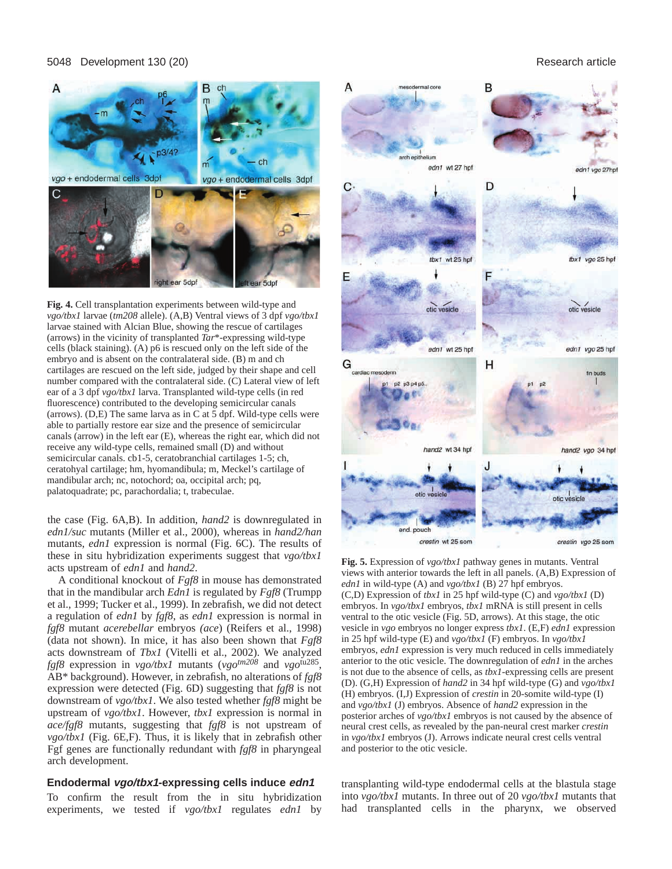#### 5048 Development 130 (20) Research article



**Fig. 4.** Cell transplantation experiments between wild-type and *vgo/tbx1* larvae (*tm208* allele). (A,B) Ventral views of 3 dpf *vgo/tbx1* larvae stained with Alcian Blue, showing the rescue of cartilages (arrows) in the vicinity of transplanted *Tar*\*-expressing wild-type cells (black staining). (A) p6 is rescued only on the left side of the embryo and is absent on the contralateral side. (B) m and ch cartilages are rescued on the left side, judged by their shape and cell number compared with the contralateral side. (C) Lateral view of left ear of a 3 dpf *vgo/tbx1* larva. Transplanted wild-type cells (in red fluorescence) contributed to the developing semicircular canals (arrows). (D,E) The same larva as in C at 5 dpf. Wild-type cells were able to partially restore ear size and the presence of semicircular canals (arrow) in the left ear (E), whereas the right ear, which did not receive any wild-type cells, remained small (D) and without semicircular canals. cb1-5, ceratobranchial cartilages 1-5; ch, ceratohyal cartilage; hm, hyomandibula; m, Meckel's cartilage of mandibular arch; nc, notochord; oa, occipital arch; pq, palatoquadrate; pc, parachordalia; t, trabeculae.

the case (Fig. 6A,B). In addition, *hand2* is downregulated in *edn1/suc* mutants (Miller et al., 2000), whereas in *hand2/han* mutants, *edn1* expression is normal (Fig. 6C). The results of these in situ hybridization experiments suggest that *vgo/tbx1* acts upstream of *edn1* and *hand2*.

A conditional knockout of *Fgf8* in mouse has demonstrated that in the mandibular arch *Edn1* is regulated by *Fgf8* (Trumpp et al., 1999; Tucker et al., 1999). In zebrafish, we did not detect a regulation of *edn1* by *fgf8*, as *edn1* expression is normal in *fgf8* mutant *acerebellar* embryos *(ace*) (Reifers et al., 1998) (data not shown). In mice, it has also been shown that *Fgf8* acts downstream of *Tbx1* (Vitelli et al., 2002). We analyzed *fgf8* expression in *vgo/tbx1* mutants (*vgotm208* and *vgo*tu285, AB\* background). However, in zebrafish, no alterations of *fgf8* expression were detected (Fig. 6D) suggesting that *fgf8* is not downstream of *vgo/tbx1*. We also tested whether *fgf8* might be upstream of *vgo/tbx1*. However, *tbx1* expression is normal in *ace/fgf8* mutants, suggesting that *fgf8* is not upstream of *vgo/tbx1* (Fig. 6E,F). Thus, it is likely that in zebrafish other Fgf genes are functionally redundant with *fgf8* in pharyngeal arch development.

#### **Endodermal vgo/tbx1-expressing cells induce edn1**

To confirm the result from the in situ hybridization experiments, we tested if *vgo/tbx1* regulates *edn1* by



**Fig. 5.** Expression of *vgo/tbx1* pathway genes in mutants. Ventral views with anterior towards the left in all panels. (A,B) Expression of *edn1* in wild-type (A) and *vgo/tbx1* (B) 27 hpf embryos. (C,D) Expression of *tbx1* in 25 hpf wild-type (C) and *vgo/tbx1* (D) embryos. In *vgo/tbx1* embryos, *tbx1* mRNA is still present in cells ventral to the otic vesicle (Fig. 5D, arrows). At this stage, the otic vesicle in *vgo* embryos no longer express *tbx1*. (E,F) *edn1* expression in 25 hpf wild-type (E) and *vgo/tbx1* (F) embryos. In *vgo/tbx1* embryos, *edn1* expression is very much reduced in cells immediately anterior to the otic vesicle. The downregulation of *edn1* in the arches is not due to the absence of cells, as *tbx1*-expressing cells are present (D). (G,H) Expression of *hand2* in 34 hpf wild-type (G) and *vgo/tbx1* (H) embryos. (I,J) Expression of *crestin* in 20-somite wild-type (I) and *vgo/tbx1* (J) embryos. Absence of *hand2* expression in the posterior arches of *vgo/tbx1* embryos is not caused by the absence of neural crest cells, as revealed by the pan-neural crest marker *crestin* in *vgo/tbx1* embryos (J). Arrows indicate neural crest cells ventral and posterior to the otic vesicle.

transplanting wild-type endodermal cells at the blastula stage into *vgo/tbx1* mutants. In three out of 20 *vgo/tbx1* mutants that had transplanted cells in the pharynx, we observed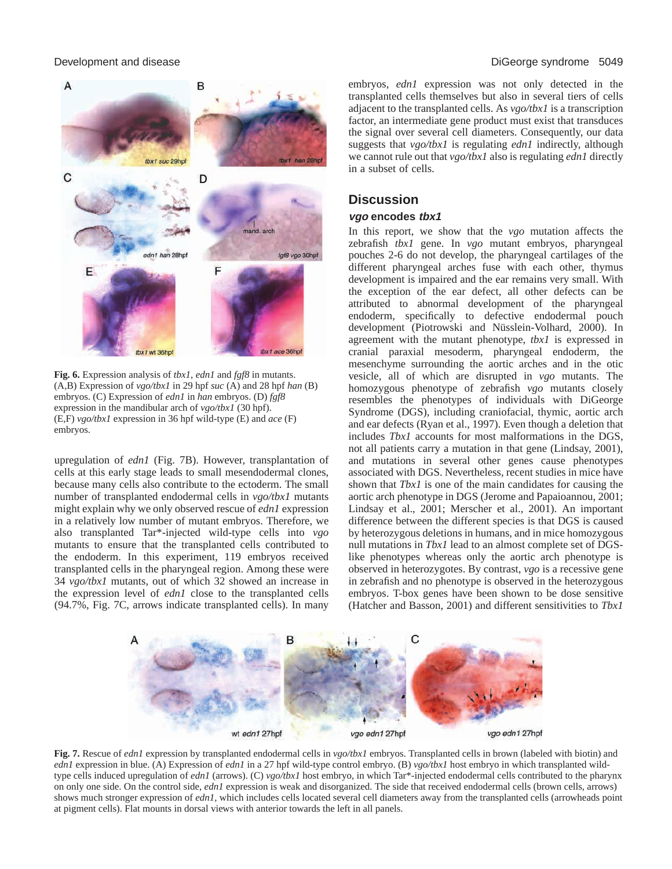#### Development and disease DiGeorge syndrome 5049



**Fig. 6.** Expression analysis of *tbx1*, *edn1* and *fgf8* in mutants. (A,B) Expression of *vgo/tbx1* in 29 hpf *suc* (A) and 28 hpf *han* (B) embryos. (C) Expression of *edn1* in *han* embryos. (D) *fgf8* expression in the mandibular arch of *vgo/tbx1* (30 hpf). (E,F) *vgo/tbx1* expression in 36 hpf wild-type (E) and *ace* (F) embryos.

upregulation of *edn1* (Fig. 7B). However, transplantation of cells at this early stage leads to small mesendodermal clones, because many cells also contribute to the ectoderm. The small number of transplanted endodermal cells in *vgo/tbx1* mutants might explain why we only observed rescue of *edn1* expression in a relatively low number of mutant embryos. Therefore, we also transplanted Tar\*-injected wild-type cells into *vgo* mutants to ensure that the transplanted cells contributed to the endoderm. In this experiment, 119 embryos received transplanted cells in the pharyngeal region. Among these were 34 *vgo/tbx1* mutants, out of which 32 showed an increase in the expression level of *edn1* close to the transplanted cells (94.7%, Fig. 7C, arrows indicate transplanted cells). In many embryos, *edn1* expression was not only detected in the transplanted cells themselves but also in several tiers of cells adjacent to the transplanted cells. As *vgo/tbx1* is a transcription factor, an intermediate gene product must exist that transduces the signal over several cell diameters. Consequently, our data suggests that *vgo/tbx1* is regulating *edn1* indirectly, although we cannot rule out that *vgo/tbx1* also is regulating *edn1* directly in a subset of cells.

# **Discussion**

#### **vgo encodes tbx1**

In this report, we show that the *vgo* mutation affects the zebrafish *tbx1* gene. In *vgo* mutant embryos, pharyngeal pouches 2-6 do not develop, the pharyngeal cartilages of the different pharyngeal arches fuse with each other, thymus development is impaired and the ear remains very small. With the exception of the ear defect, all other defects can be attributed to abnormal development of the pharyngeal endoderm, specifically to defective endodermal pouch development (Piotrowski and Nüsslein-Volhard, 2000). In agreement with the mutant phenotype, *tbx1* is expressed in cranial paraxial mesoderm, pharyngeal endoderm, the mesenchyme surrounding the aortic arches and in the otic vesicle, all of which are disrupted in *vgo* mutants. The homozygous phenotype of zebrafish *vgo* mutants closely resembles the phenotypes of individuals with DiGeorge Syndrome (DGS), including craniofacial, thymic, aortic arch and ear defects (Ryan et al., 1997). Even though a deletion that includes *Tbx1* accounts for most malformations in the DGS, not all patients carry a mutation in that gene (Lindsay, 2001), and mutations in several other genes cause phenotypes associated with DGS. Nevertheless, recent studies in mice have shown that *Tbx1* is one of the main candidates for causing the aortic arch phenotype in DGS (Jerome and Papaioannou, 2001; Lindsay et al., 2001; Merscher et al., 2001). An important difference between the different species is that DGS is caused by heterozygous deletions in humans, and in mice homozygous null mutations in *Tbx1* lead to an almost complete set of DGSlike phenotypes whereas only the aortic arch phenotype is observed in heterozygotes. By contrast, *vgo* is a recessive gene in zebrafish and no phenotype is observed in the heterozygous embryos. T-box genes have been shown to be dose sensitive (Hatcher and Basson, 2001) and different sensitivities to *Tbx1*



**Fig. 7.** Rescue of *edn1* expression by transplanted endodermal cells in *vgo/tbx1* embryos. Transplanted cells in brown (labeled with biotin) and *edn1* expression in blue. (A) Expression of *edn1* in a 27 hpf wild-type control embryo. (B) *vgo/tbx1* host embryo in which transplanted wildtype cells induced upregulation of *edn1* (arrows). (C) *vgo/tbx1* host embryo, in which Tar\*-injected endodermal cells contributed to the pharynx on only one side. On the control side, *edn1* expression is weak and disorganized. The side that received endodermal cells (brown cells, arrows) shows much stronger expression of *edn1*, which includes cells located several cell diameters away from the transplanted cells (arrowheads point at pigment cells). Flat mounts in dorsal views with anterior towards the left in all panels.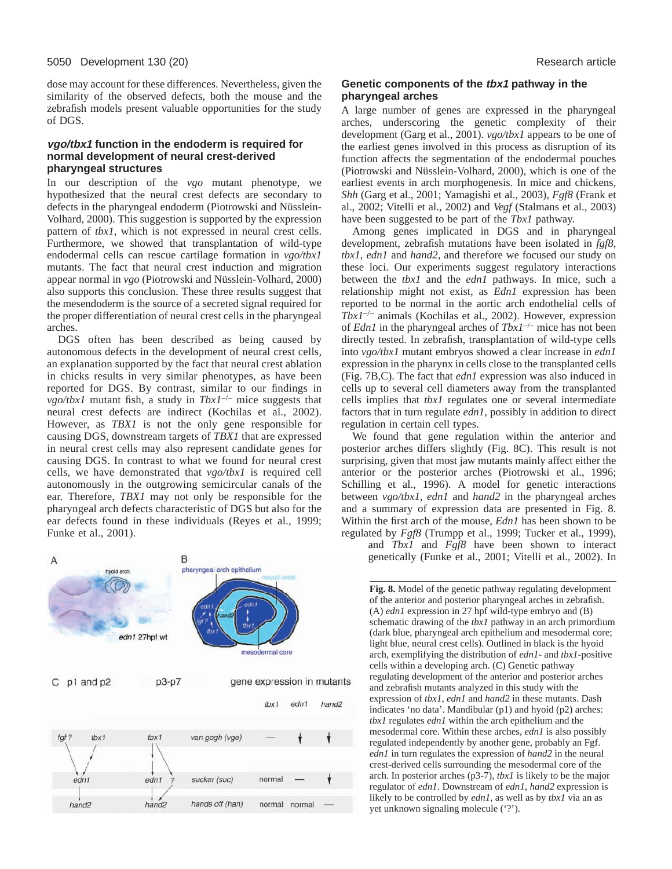dose may account for these differences. Nevertheless, given the similarity of the observed defects, both the mouse and the zebrafish models present valuable opportunities for the study of DGS.

#### **vgo/tbx1 function in the endoderm is required for normal development of neural crest-derived pharyngeal structures**

In our description of the *vgo* mutant phenotype, we hypothesized that the neural crest defects are secondary to defects in the pharyngeal endoderm (Piotrowski and Nüsslein-Volhard, 2000). This suggestion is supported by the expression pattern of *tbx1*, which is not expressed in neural crest cells. Furthermore, we showed that transplantation of wild-type endodermal cells can rescue cartilage formation in *vgo/tbx1* mutants. The fact that neural crest induction and migration appear normal in *vgo* (Piotrowski and Nüsslein-Volhard, 2000) also supports this conclusion. These three results suggest that the mesendoderm is the source of a secreted signal required for the proper differentiation of neural crest cells in the pharyngeal arches.

DGS often has been described as being caused by autonomous defects in the development of neural crest cells, an explanation supported by the fact that neural crest ablation in chicks results in very similar phenotypes, as have been reported for DGS. By contrast, similar to our findings in *vgo/tbx1* mutant fish, a study in *Tbx1*–/– mice suggests that neural crest defects are indirect (Kochilas et al., 2002). However, as *TBX1* is not the only gene responsible for causing DGS, downstream targets of *TBX1* that are expressed in neural crest cells may also represent candidate genes for causing DGS. In contrast to what we found for neural crest cells, we have demonstrated that *vgo/tbx1* is required cell autonomously in the outgrowing semicircular canals of the ear. Therefore, *TBX1* may not only be responsible for the pharyngeal arch defects characteristic of DGS but also for the ear defects found in these individuals (Reyes et al., 1999; Funke et al., 2001).



#### **Genetic components of the tbx1 pathway in the pharyngeal arches**

A large number of genes are expressed in the pharyngeal arches, underscoring the genetic complexity of their development (Garg et al., 2001). *vgo/tbx1* appears to be one of the earliest genes involved in this process as disruption of its function affects the segmentation of the endodermal pouches (Piotrowski and Nüsslein-Volhard, 2000), which is one of the earliest events in arch morphogenesis. In mice and chickens, *Shh* (Garg et al., 2001; Yamagishi et al., 2003), *Fgf8* (Frank et al., 2002; Vitelli et al., 2002) and *Vegf* (Stalmans et al., 2003) have been suggested to be part of the *Tbx1* pathway.

Among genes implicated in DGS and in pharyngeal development, zebrafish mutations have been isolated in *fgf8*, *tbx1*, *edn1* and *hand2*, and therefore we focused our study on these loci. Our experiments suggest regulatory interactions between the *tbx1* and the *edn1* pathways. In mice, such a relationship might not exist, as *Edn1* expression has been reported to be normal in the aortic arch endothelial cells of *Tbx1*–/– animals (Kochilas et al., 2002). However, expression of *Edn1* in the pharyngeal arches of *Tbx1*–/– mice has not been directly tested. In zebrafish, transplantation of wild-type cells into *vgo/tbx1* mutant embryos showed a clear increase in *edn1* expression in the pharynx in cells close to the transplanted cells (Fig. 7B,C). The fact that *edn1* expression was also induced in cells up to several cell diameters away from the transplanted cells implies that *tbx1* regulates one or several intermediate factors that in turn regulate *edn1*, possibly in addition to direct regulation in certain cell types.

We found that gene regulation within the anterior and posterior arches differs slightly (Fig. 8C). This result is not surprising, given that most jaw mutants mainly affect either the anterior or the posterior arches (Piotrowski et al., 1996; Schilling et al., 1996). A model for genetic interactions between *vgo/tbx1*, *edn1* and *hand2* in the pharyngeal arches and a summary of expression data are presented in Fig. 8. Within the first arch of the mouse, *Edn1* has been shown to be regulated by *Fgf8* (Trumpp et al., 1999; Tucker et al., 1999),

and *Tbx1* and *Fgf8* have been shown to interact genetically (Funke et al., 2001; Vitelli et al., 2002). In

**Fig. 8.** Model of the genetic pathway regulating development of the anterior and posterior pharyngeal arches in zebrafish. (A) *edn1* expression in 27 hpf wild-type embryo and (B) schematic drawing of the *tbx1* pathway in an arch primordium (dark blue, pharyngeal arch epithelium and mesodermal core; light blue, neural crest cells). Outlined in black is the hyoid arch, exemplifying the distribution of *edn1*- and *tbx1*-positive cells within a developing arch. (C) Genetic pathway regulating development of the anterior and posterior arches and zebrafish mutants analyzed in this study with the expression of *tbx1*, *edn1* and *hand2* in these mutants. Dash indicates 'no data'. Mandibular (p1) and hyoid (p2) arches: *tbx1* regulates *edn1* within the arch epithelium and the mesodermal core. Within these arches, *edn1* is also possibly regulated independently by another gene, probably an Fgf. *edn1* in turn regulates the expression of *hand2* in the neural crest-derived cells surrounding the mesodermal core of the arch. In posterior arches (p3-7), *tbx1* is likely to be the major regulator of *edn1*. Downstream of *edn1*, *hand2* expression is likely to be controlled by *edn1*, as well as by *tbx1* via an as yet unknown signaling molecule ('?').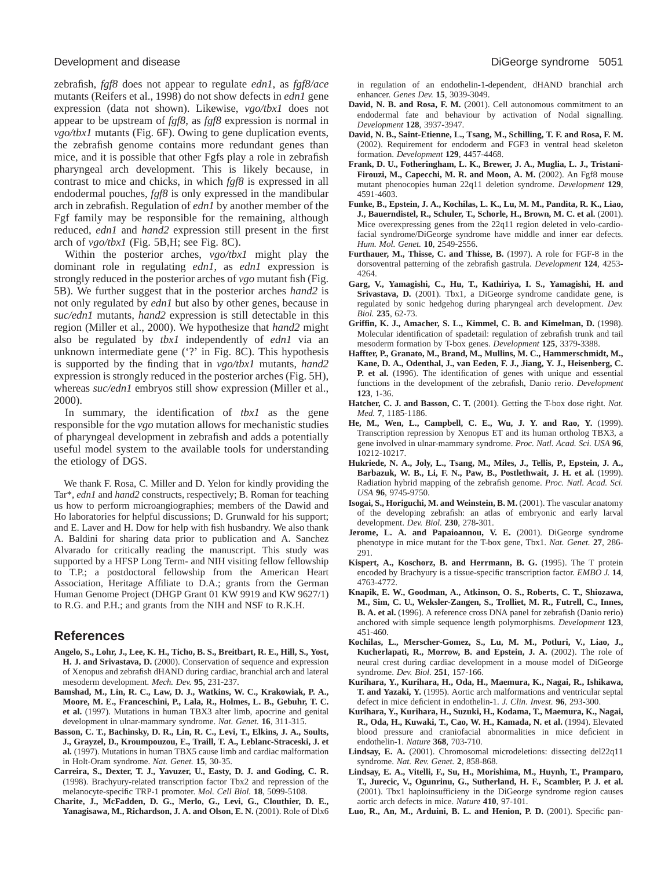zebrafish, *fgf8* does not appear to regulate *edn1*, as *fgf8/ace* mutants (Reifers et al., 1998) do not show defects in *edn1* gene expression (data not shown). Likewise, *vgo/tbx1* does not appear to be upstream of *fgf8*, as *fgf8* expression is normal in *vgo/tbx1* mutants (Fig. 6F). Owing to gene duplication events, the zebrafish genome contains more redundant genes than mice, and it is possible that other Fgfs play a role in zebrafish pharyngeal arch development. This is likely because, in contrast to mice and chicks, in which *fgf8* is expressed in all endodermal pouches, *fgf8* is only expressed in the mandibular arch in zebrafish. Regulation of *edn1* by another member of the Fgf family may be responsible for the remaining, although reduced, *edn1* and *hand2* expression still present in the first arch of *vgo/tbx1* (Fig. 5B,H; see Fig. 8C).

Within the posterior arches, *vgo/tbx1* might play the dominant role in regulating *edn1*, as *edn1* expression is strongly reduced in the posterior arches of *vgo* mutant fish (Fig. 5B). We further suggest that in the posterior arches *hand2* is not only regulated by *edn1* but also by other genes, because in *suc/edn1* mutants, *hand2* expression is still detectable in this region (Miller et al., 2000). We hypothesize that *hand2* might also be regulated by *tbx1* independently of *edn1* via an unknown intermediate gene ('?' in Fig. 8C). This hypothesis is supported by the finding that in *vgo/tbx1* mutants, *hand2* expression is strongly reduced in the posterior arches (Fig. 5H), whereas *suc/edn1* embryos still show expression (Miller et al., 2000).

In summary, the identification of *tbx1* as the gene responsible for the *vgo* mutation allows for mechanistic studies of pharyngeal development in zebrafish and adds a potentially useful model system to the available tools for understanding the etiology of DGS.

We thank F. Rosa, C. Miller and D. Yelon for kindly providing the Tar\*, *edn1* and *hand2* constructs, respectively; B. Roman for teaching us how to perform microangiographies; members of the Dawid and Ho laboratories for helpful discussions; D. Grunwald for his support; and E. Laver and H. Dow for help with fish husbandry. We also thank A. Baldini for sharing data prior to publication and A. Sanchez Alvarado for critically reading the manuscript. This study was supported by a HFSP Long Term- and NIH visiting fellow fellowship to T.P.; a postdoctoral fellowship from the American Heart Association, Heritage Affiliate to D.A.; grants from the German Human Genome Project (DHGP Grant 01 KW 9919 and KW 9627/1) to R.G. and P.H.; and grants from the NIH and NSF to R.K.H.

### **References**

- **Angelo, S., Lohr, J., Lee, K. H., Ticho, B. S., Breitbart, R. E., Hill, S., Yost, H. J. and Srivastava, D.** (2000). Conservation of sequence and expression of Xenopus and zebrafish dHAND during cardiac, branchial arch and lateral mesoderm development. *Mech. Dev.* **95**, 231-237.
- **Bamshad, M., Lin, R. C., Law, D. J., Watkins, W. C., Krakowiak, P. A., Moore, M. E., Franceschini, P., Lala, R., Holmes, L. B., Gebuhr, T. C. et al.** (1997). Mutations in human TBX3 alter limb, apocrine and genital development in ulnar-mammary syndrome. *Nat. Genet.* **16**, 311-315.
- **Basson, C. T., Bachinsky, D. R., Lin, R. C., Levi, T., Elkins, J. A., Soults, J., Grayzel, D., Kroumpouzou, E., Traill, T. A., Leblanc-Straceski, J. et al.** (1997). Mutations in human TBX5 cause limb and cardiac malformation in Holt-Oram syndrome. *Nat. Genet.* **15**, 30-35.
- **Carreira, S., Dexter, T. J., Yavuzer, U., Easty, D. J. and Goding, C. R.** (1998). Brachyury-related transcription factor Tbx2 and repression of the melanocyte-specific TRP-1 promoter. *Mol. Cell Biol.* **18**, 5099-5108.
- **Charite, J., McFadden, D. G., Merlo, G., Levi, G., Clouthier, D. E., Yanagisawa, M., Richardson, J. A. and Olson, E. N.** (2001). Role of Dlx6

in regulation of an endothelin-1-dependent, dHAND branchial arch enhancer. *Genes Dev.* **15**, 3039-3049.

- **David, N. B. and Rosa, F. M.** (2001). Cell autonomous commitment to an endodermal fate and behaviour by activation of Nodal signalling. *Development* **128**, 3937-3947.
- **David, N. B., Saint-Etienne, L., Tsang, M., Schilling, T. F. and Rosa, F. M.** (2002). Requirement for endoderm and FGF3 in ventral head skeleton formation. *Development* **129**, 4457-4468.
- **Frank, D. U., Fotheringham, L. K., Brewer, J. A., Muglia, L. J., Tristani-Firouzi, M., Capecchi, M. R. and Moon, A. M.** (2002). An Fgf8 mouse mutant phenocopies human 22q11 deletion syndrome. *Development* **129**, 4591-4603.
- **Funke, B., Epstein, J. A., Kochilas, L. K., Lu, M. M., Pandita, R. K., Liao, J., Bauerndistel, R., Schuler, T., Schorle, H., Brown, M. C. et al.** (2001). Mice overexpressing genes from the 22q11 region deleted in velo-cardiofacial syndrome/DiGeorge syndrome have middle and inner ear defects. *Hum. Mol. Genet.* **10**, 2549-2556.
- **Furthauer, M., Thisse, C. and Thisse, B.** (1997). A role for FGF-8 in the dorsoventral patterning of the zebrafish gastrula. *Development* **124**, 4253- 4264.
- **Garg, V., Yamagishi, C., Hu, T., Kathiriya, I. S., Yamagishi, H. and Srivastava, D.** (2001). Tbx1, a DiGeorge syndrome candidate gene, is regulated by sonic hedgehog during pharyngeal arch development. *Dev. Biol.* **235**, 62-73.
- **Griffin, K. J., Amacher, S. L., Kimmel, C. B. and Kimelman, D.** (1998). Molecular identification of spadetail: regulation of zebrafish trunk and tail mesoderm formation by T-box genes. *Development* **125**, 3379-3388.
- **Haffter, P., Granato, M., Brand, M., Mullins, M. C., Hammerschmidt, M., Kane, D. A., Odenthal, J., van Eeden, F. J., Jiang, Y. J., Heisenberg, C. P. et al.** (1996). The identification of genes with unique and essential functions in the development of the zebrafish, Danio rerio. *Development* **123**, 1-36.
- **Hatcher, C. J. and Basson, C. T.** (2001). Getting the T-box dose right. *Nat. Med.* **7**, 1185-1186.
- **He, M., Wen, L., Campbell, C. E., Wu, J. Y. and Rao, Y.** (1999). Transcription repression by Xenopus ET and its human ortholog TBX3, a gene involved in ulnar-mammary syndrome. *Proc. Natl. Acad. Sci. USA* **96**, 10212-10217.
- **Hukriede, N. A., Joly, L., Tsang, M., Miles, J., Tellis, P., Epstein, J. A., Barbazuk, W. B., Li, F. N., Paw, B., Postlethwait, J. H. et al.** (1999). Radiation hybrid mapping of the zebrafish genome. *Proc. Natl. Acad. Sci. USA* **96**, 9745-9750.
- **Isogai, S., Horiguchi, M. and Weinstein, B. M.** (2001). The vascular anatomy of the developing zebrafish: an atlas of embryonic and early larval development. *Dev. Biol.* **230**, 278-301.
- Jerome, L. A. and Papaioannou, V. E. (2001). DiGeorge syndrome phenotype in mice mutant for the T-box gene, Tbx1. *Nat. Genet.* **27**, 286- 291.
- **Kispert, A., Koschorz, B. and Herrmann, B. G.** (1995). The T protein encoded by Brachyury is a tissue-specific transcription factor. *EMBO J.* **14**, 4763-4772.
- **Knapik, E. W., Goodman, A., Atkinson, O. S., Roberts, C. T., Shiozawa, M., Sim, C. U., Weksler-Zangen, S., Trolliet, M. R., Futrell, C., Innes, B. A. et al.** (1996). A reference cross DNA panel for zebrafish (Danio rerio) anchored with simple sequence length polymorphisms. *Development* **123**, 451-460.
- **Kochilas, L., Merscher-Gomez, S., Lu, M. M., Potluri, V., Liao, J., Kucherlapati, R., Morrow, B. and Epstein, J. A.** (2002). The role of neural crest during cardiac development in a mouse model of DiGeorge syndrome. *Dev. Biol.* **251**, 157-166.
- **Kurihara, Y., Kurihara, H., Oda, H., Maemura, K., Nagai, R., Ishikawa, T. and Yazaki, Y.** (1995). Aortic arch malformations and ventricular septal defect in mice deficient in endothelin-1. *J. Clin. Invest.* **96**, 293-300.
- **Kurihara, Y., Kurihara, H., Suzuki, H., Kodama, T., Maemura, K., Nagai, R., Oda, H., Kuwaki, T., Cao, W. H., Kamada, N. et al.** (1994). Elevated blood pressure and craniofacial abnormalities in mice deficient in endothelin-1. *Nature* **368**, 703-710.
- Lindsay, E. A. (2001). Chromosomal microdeletions: dissecting del22q11 syndrome. *Nat. Rev. Genet.* **2**, 858-868.
- **Lindsay, E. A., Vitelli, F., Su, H., Morishima, M., Huynh, T., Pramparo, T., Jurecic, V., Ogunrinu, G., Sutherland, H. F., Scambler, P. J. et al.** (2001). Tbx1 haploinsufficieny in the DiGeorge syndrome region causes aortic arch defects in mice. *Nature* **410**, 97-101.
- **Luo, R., An, M., Arduini, B. L. and Henion, P. D.** (2001). Specific pan-